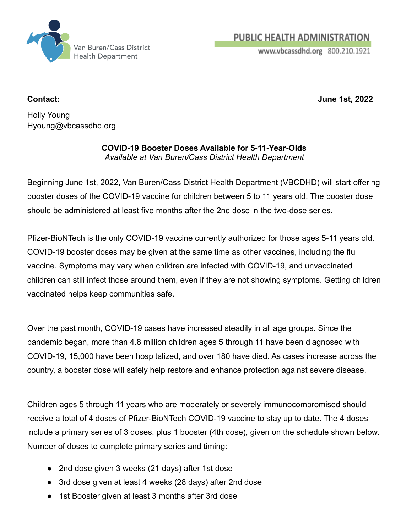

**PUBLIC HEALTH ADMINISTRATION** 

www.vbcassdhd.org 800.210.1921

**Contact: June 1st, 2022**

Holly Young Hyoung@vbcassdhd.org

## **COVID-19 Booster Doses Available for 5-11-Year-Olds** *Available at Van Buren/Cass District Health Department*

Beginning June 1st, 2022, Van Buren/Cass District Health Department (VBCDHD) will start offering booster doses of the COVID-19 vaccine for children between 5 to 11 years old. The booster dose should be administered at least five months after the 2nd dose in the two-dose series.

Pfizer-BioNTech is the only COVID-19 vaccine currently authorized for those ages 5-11 years old. COVID-19 booster doses may be given at the same time as other vaccines, including the flu vaccine. Symptoms may vary when children are infected with COVID-19, and unvaccinated children can still infect those around them, even if they are not showing symptoms. Getting children vaccinated helps keep communities safe.

Over the past month, COVID-19 cases have increased steadily in all age groups. Since the pandemic began, more than 4.8 million children ages 5 through 11 have been diagnosed with COVID-19, 15,000 have been hospitalized, and over 180 have died. As cases increase across the country, a booster dose will safely help restore and enhance protection against severe disease.

Children ages 5 through 11 years who are moderately or severely immunocompromised should receive a total of 4 doses of Pfizer-BioNTech COVID-19 vaccine to stay up to date. The 4 doses include a primary series of 3 doses, plus 1 booster (4th dose), given on the schedule shown below. Number of doses to complete primary series and timing:

- 2nd dose given 3 weeks (21 days) after 1st dose
- 3rd dose given at least 4 weeks (28 days) after 2nd dose
- 1st Booster given at least 3 months after 3rd dose